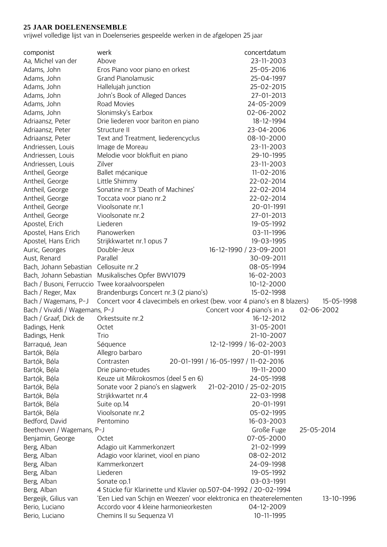## **25 JAAR DOELENENSEMBLE**

vrijwel volledige lijst van in Doelenseries gespeelde werken in de afgelopen 25 jaar

| componist                                      | werk                                                                     | concertdatum                         |            |
|------------------------------------------------|--------------------------------------------------------------------------|--------------------------------------|------------|
| Aa, Michel van der                             | Above                                                                    | 23-11-2003                           |            |
| Adams, John                                    | 25-05-2016<br>Eros Piano voor piano en orkest                            |                                      |            |
| Adams, John                                    | <b>Grand Pianolamusic</b>                                                | 25-04-1997                           |            |
| Adams, John                                    | Hallelujah junction                                                      | 25-02-2015                           |            |
| Adams, John                                    | John's Book of Alleged Dances                                            | 27-01-2013                           |            |
| Adams, John                                    | Road Movies                                                              | 24-05-2009                           |            |
| Adams, John                                    | Slonimsky's Earbox                                                       | 02-06-2002                           |            |
| Adriaansz, Peter                               | Drie liederen voor bariton en piano                                      | 18-12-1994                           |            |
| Adriaansz, Peter                               | Structure II                                                             | 23-04-2006                           |            |
| Adriaansz, Peter                               | Text and Treatment, liederencyclus                                       | 08-10-2000                           |            |
| Andriessen, Louis                              | Image de Moreau                                                          | 23-11-2003                           |            |
| Andriessen, Louis                              | Melodie voor blokfluit en piano                                          | 29-10-1995                           |            |
| Andriessen, Louis                              | Zilver                                                                   | 23-11-2003                           |            |
| Antheil, George                                | Ballet mécanique                                                         | $11 - 02 - 2016$                     |            |
| Antheil, George                                | Little Shimmy                                                            | 22-02-2014                           |            |
| Antheil, George                                | Sonatine nr.3 'Death of Machines'                                        | 22-02-2014                           |            |
| Antheil, George                                | Toccata voor piano nr.2                                                  | 22-02-2014                           |            |
| Antheil, George                                | Vioolsonate nr.1                                                         | 20-01-1991                           |            |
| Antheil, George                                | Vioolsonate nr.2                                                         | 27-01-2013                           |            |
| Apostel, Erich                                 | Liederen                                                                 | 19-05-1992                           |            |
| Apostel, Hans Erich                            | Pianowerken                                                              | 03-11-1996                           |            |
| Apostel, Hans Erich                            | Strijkkwartet nr.1 opus 7                                                | 19-03-1995                           |            |
| Auric, Georges                                 | Double-Jeux                                                              | 16-12-1990 / 23-09-2001              |            |
| Aust, Renard                                   | Parallel                                                                 | 30-09-2011                           |            |
| Bach, Johann Sebastian                         | Cellosuite nr.2                                                          | 08-05-1994                           |            |
| Bach, Johann Sebastian                         | Musikalisches Opfer BWV1079                                              | 16-02-2003                           |            |
| Bach / Busoni, Ferruccio Twee koraalvoorspelen |                                                                          | $10 - 12 - 2000$                     |            |
| Bach / Reger, Max                              | Brandenburgs Concert nr.3 (2 piano's)                                    | 15-02-1998                           |            |
| Bach / Wagemans, P-J                           | Concert voor 4 clavecimbels en orkest (bew. voor 4 piano's en 8 blazers) |                                      | 15-05-1998 |
| Bach / Vivaldi / Wagemans, P-J                 |                                                                          | Concert voor 4 piano's in a          | 02-06-2002 |
| Bach / Graaf, Dick de                          | Orkestsuite nr.2                                                         | 16-12-2012                           |            |
| Badings, Henk                                  | Octet                                                                    | 31-05-2001                           |            |
| Badings, Henk                                  | Trio                                                                     | 21-10-2007                           |            |
| Barraqué, Jean                                 | Séquence                                                                 | 12-12-1999 / 16-02-2003              |            |
| Bartók, Béla                                   | Allegro barbaro                                                          | 20-01-1991                           |            |
| Bartók, Béla                                   | Contrasten                                                               | 20-01-1991 / 16-05-1997 / 11-02-2016 |            |
| Bartók, Béla                                   | Drie piano-etudes                                                        | 19-11-2000                           |            |
| Bartók, Béla                                   | Keuze uit Mikrokosmos (deel 5 en 6)                                      | 24-05-1998                           |            |
| Bartók, Béla                                   | Sonate voor 2 piano's en slagwerk                                        | 21-02-2010 / 25-02-2015              |            |
| Bartók, Béla                                   | Strijkkwartet nr.4                                                       | 22-03-1998                           |            |
| Bartók, Béla                                   | Suite op.14                                                              | 20-01-1991                           |            |
| Bartók, Béla                                   | Vioolsonate nr.2                                                         | 05-02-1995                           |            |
| Bedford, David                                 | Pentomino                                                                | 16-03-2003                           |            |
| Beethoven / Wagemans, P-J                      |                                                                          | Große Fuge                           | 25-05-2014 |
| Benjamin, George                               | Octet                                                                    | 07-05-2000                           |            |
| Berg, Alban                                    | Adagio uit Kammerkonzert                                                 | 21-02-1999                           |            |
| Berg, Alban                                    | Adagio voor klarinet, viool en piano                                     | 08-02-2012                           |            |
| Berg, Alban                                    | Kammerkonzert                                                            | 24-09-1998                           |            |
| Berg, Alban                                    | Liederen                                                                 | 19-05-1992                           |            |
| Berg, Alban                                    | Sonate op.1                                                              | 03-03-1991                           |            |
| Berg, Alban                                    | 4 Stücke für Klarinette und Klavier op.507-04-1992 / 20-02-1994          |                                      |            |
| Bergeijk, Gilius van                           | 'Een Lied van Schijn en Weezen' voor elektronica en theaterelementen     |                                      | 13-10-1996 |
| Berio, Luciano                                 | Accordo voor 4 kleine harmonieorkesten                                   | 04-12-2009                           |            |
| Berio, Luciano                                 | Chemins II su Sequenza VI                                                | 10-11-1995                           |            |
|                                                |                                                                          |                                      |            |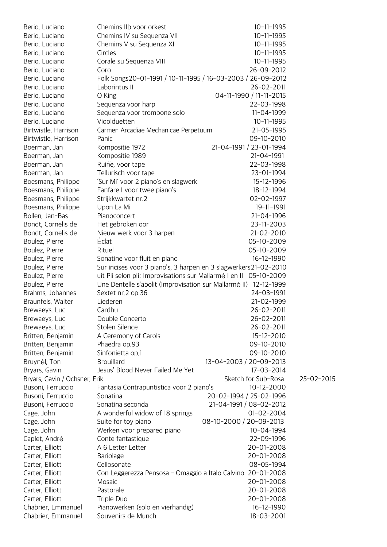| Berio, Luciano                | Chemins IIb voor orkest                                           | $10 - 11 - 1995$        |            |
|-------------------------------|-------------------------------------------------------------------|-------------------------|------------|
| Berio, Luciano                | Chemins IV su Sequenza VII                                        | 10-11-1995              |            |
| Berio, Luciano                | Chemins V su Sequenza XI                                          | $10 - 11 - 1995$        |            |
| Berio, Luciano                | Circles                                                           | $10 - 11 - 1995$        |            |
| Berio, Luciano                | Corale su Sequenza VIII                                           | 10-11-1995              |            |
| Berio, Luciano                | Coro                                                              | 26-09-2012              |            |
| Berio, Luciano                | Folk Songs20-01-1991 / 10-11-1995 / 16-03-2003 / 26-09-2012       |                         |            |
| Berio, Luciano                | Laborintus II                                                     | 26-02-2011              |            |
| Berio, Luciano                | O King                                                            | 04-11-1990 / 11-11-2015 |            |
| Berio, Luciano                | Sequenza voor harp                                                | 22-03-1998              |            |
| Berio, Luciano                | Sequenza voor trombone solo                                       | 11-04-1999              |            |
| Berio, Luciano                | Vioolduetten                                                      | $10 - 11 - 1995$        |            |
| Birtwistle, Harrison          | Carmen Arcadiae Mechanicae Perpetuum                              | 21-05-1995              |            |
| Birtwistle, Harrison          | Panic                                                             | 09-10-2010              |            |
| Boerman, Jan                  | Kompositie 1972                                                   | 21-04-1991 / 23-01-1994 |            |
| Boerman, Jan                  | Kompositie 1989                                                   | 21-04-1991              |            |
| Boerman, Jan                  | Ruine, voor tape                                                  | 22-03-1998              |            |
| Boerman, Jan                  | Tellurisch voor tape                                              | 23-01-1994              |            |
| Boesmans, Philippe            | 'Sur Mi' voor 2 piano's en slagwerk                               | 15-12-1996              |            |
| Boesmans, Philippe            | Fanfare I voor twee piano's                                       | 18-12-1994              |            |
| Boesmans, Philippe            | Strijkkwartet nr.2                                                | 02-02-1997              |            |
| Boesmans, Philippe            | Upon La Mi                                                        | 19-11-1991              |            |
| Bollen, Jan-Bas               | Pianoconcert                                                      | 21-04-1996              |            |
| Bondt, Cornelis de            | Het gebroken oor                                                  | 23-11-2003              |            |
| Bondt, Cornelis de            | Nieuw werk voor 3 harpen                                          | 21-02-2010              |            |
| Boulez, Pierre                | Éclat                                                             | 05-10-2009              |            |
| Boulez, Pierre                | Rituel                                                            | 05-10-2009              |            |
| Boulez, Pierre                | Sonatine voor fluit en piano                                      | 16-12-1990              |            |
| Boulez, Pierre                | Sur incises voor 3 piano's, 3 harpen en 3 slagwerkers 21-02-2010  |                         |            |
| Boulez, Pierre                | uit Pli selon pli: Improvisations sur Mallarmé I en II 05-10-2009 |                         |            |
| Boulez, Pierre                | Une Dentelle s'abolit (Improvisation sur Mallarmé II) 12-12-1999  |                         |            |
| Brahms, Johannes              | Sextet nr.2 op.36                                                 | 24-03-1991              |            |
| Braunfels, Walter             | Liederen                                                          | 21-02-1999              |            |
| Brewaeys, Luc                 | Cardhu                                                            | 26-02-2011              |            |
| Brewaeys, Luc                 | Double Concerto                                                   | 26-02-2011              |            |
| Brewaeys, Luc                 | Stolen Silence                                                    | 26-02-2011              |            |
| Britten, Benjamin             | A Ceremony of Carols                                              | 15-12-2010              |            |
| Britten, Benjamin             | Phaedra op.93                                                     | 09-10-2010              |            |
| Britten, Benjamin             | Sinfonietta op.1                                                  | 09-10-2010              |            |
| Bruynèl, Ton                  | <b>Brouillard</b>                                                 | 13-04-2003 / 20-09-2013 |            |
| Bryars, Gavin                 | Jesus' Blood Never Failed Me Yet                                  | 17-03-2014              |            |
| Bryars, Gavin / Ochsner, Erik |                                                                   | Sketch for Sub-Rosa     | 25-02-2015 |
| Busoni, Ferruccio             | Fantasia Contrapuntistica voor 2 piano's                          | $10 - 12 - 2000$        |            |
| Busoni, Ferruccio             | Sonatina                                                          | 20-02-1994 / 25-02-1996 |            |
| Busoni, Ferruccio             | Sonatina seconda                                                  | 21-04-1991 / 08-02-2012 |            |
| Cage, John                    | A wonderful widow of 18 springs                                   | 01-02-2004              |            |
| Cage, John                    | Suite for toy piano                                               | 08-10-2000 / 20-09-2013 |            |
| Cage, John                    | Werken voor prepared piano                                        | 10-04-1994              |            |
| Caplet, André                 | Conte fantastique                                                 | 22-09-1996              |            |
| Carter, Elliott               | A 6 Letter Letter                                                 | 20-01-2008              |            |
| Carter, Elliott               | <b>Bariolage</b>                                                  | 20-01-2008              |            |
| Carter, Elliott               | Cellosonate                                                       | 08-05-1994              |            |
| Carter, Elliott               | Con Leggerezza Pensosa - Omaggio a Italo Calvino 20-01-2008       |                         |            |
| Carter, Elliott               | Mosaic                                                            | 20-01-2008              |            |
| Carter, Elliott               | Pastorale                                                         | 20-01-2008              |            |
| Carter, Elliott               | Triple Duo                                                        | 20-01-2008              |            |
| Chabrier, Emmanuel            | Pianowerken (solo en vierhandig)                                  | 16-12-1990              |            |
| Chabrier, Emmanuel            | Souvenirs de Munch                                                | 18-03-2001              |            |
|                               |                                                                   |                         |            |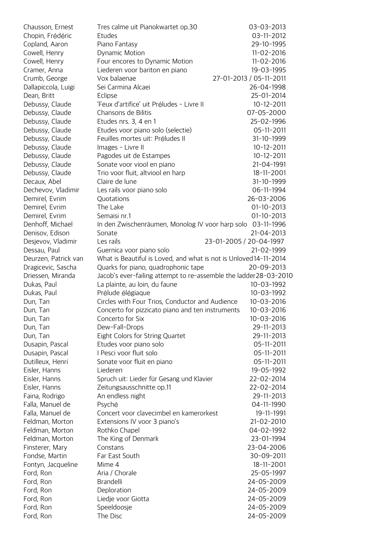| Chausson, Ernest     | Tres calme uit Pianokwartet op.30                                 | 03-03-2013              |
|----------------------|-------------------------------------------------------------------|-------------------------|
| Chopin, Frédéric     | Etudes                                                            | 03-11-2012              |
| Copland, Aaron       | Piano Fantasy                                                     | 29-10-1995              |
| Cowell, Henry        | Dynamic Motion                                                    | $11 - 02 - 2016$        |
| Cowell, Henry        | Four encores to Dynamic Motion                                    | $11 - 02 - 2016$        |
| Cramer, Anna         | Liederen voor bariton en piano                                    | 19-03-1995              |
| Crumb, George        | Vox balaenae                                                      | 27-01-2013 / 05-11-2011 |
| Dallapiccola, Luigi  | Sei Carmina Alcaei                                                | 26-04-1998              |
| Dean, Britt          | Eclipse                                                           | 25-01-2014              |
| Debussy, Claude      | 'Feux d'artifice' uit Préludes - Livre II                         | $10 - 12 - 2011$        |
| Debussy, Claude      | Chansons de Bilitis                                               | 07-05-2000              |
| Debussy, Claude      | Etudes nrs. 3, 4 en 1                                             | 25-02-1996              |
| Debussy, Claude      | Etudes voor piano solo (selectie)                                 | 05-11-2011              |
| Debussy, Claude      | Feuilles mortes uit: Préludes II                                  | 31-10-1999              |
| Debussy, Claude      | Images - Livre II                                                 | $10 - 12 - 2011$        |
| Debussy, Claude      | Pagodes uit de Estampes                                           | $10 - 12 - 2011$        |
| Debussy, Claude      | Sonate voor viool en piano                                        | 21-04-1991              |
| Debussy, Claude      | Trio voor fluit, altviool en harp                                 | 18-11-2001              |
| Decaux, Abel         | Claire de lune                                                    | 31-10-1999              |
| Dechevov, Vladimir   | Les rails voor piano solo                                         | 06-11-1994              |
| Demirel, Evrim       | Quotations                                                        | 26-03-2006              |
| Demirel, Evrim       | The Lake                                                          | $01-10-2013$            |
| Demirel, Evrim       | Semaisi nr.1                                                      | $01-10-2013$            |
| Denhoff, Michael     | In den Zwischenräumen, Monolog IV voor harp solo                  | 03-11-1996              |
| Denisov, Edison      | Sonate                                                            | 21-04-2013              |
| Desjevov, Vladimir   | Les rails                                                         | 23-01-2005 / 20-04-1997 |
| Dessau, Paul         | Guernica voor piano solo                                          | 21-02-1999              |
| Deurzen, Patrick van | What is Beautiful is Loved, and what is not is Unloved 14-11-2014 |                         |
| Dragicevic, Sascha   | Quarks for piano, quadrophonic tape                               | 20-09-2013              |
| Driessen, Miranda    | Jacob's ever-failing attempt to re-assemble the ladder28-03-2010  |                         |
| Dukas, Paul          | La plainte, au loin, du faune                                     | 10-03-1992              |
| Dukas, Paul          | Prélude élégiaque                                                 | 10-03-1992              |
| Dun, Tan             | Circles with Four Trios, Conductor and Audience                   | $10 - 03 - 2016$        |
| Dun, Tan             | Concerto for pizzicato piano and ten instruments                  | $10 - 03 - 2016$        |
| Dun, Tan             | Concerto for Six                                                  | $10 - 03 - 2016$        |
| Dun, Tan             | Dew-Fall-Drops                                                    | 29-11-2013              |
| Dun, Tan             | Eight Colors for String Quartet                                   | 29-11-2013              |
| Dusapin, Pascal      | Etudes voor piano solo                                            | 05-11-2011              |
| Dusapin, Pascal      | I Pesci voor fluit solo                                           | 05-11-2011              |
| Dutilleux, Henri     | Sonate voor fluit en piano                                        | 05-11-2011              |
| Eisler, Hanns        | Liederen                                                          | 19-05-1992              |
| Eisler, Hanns        | Spruch uit: Lieder für Gesang und Klavier                         | 22-02-2014              |
| Eisler, Hanns        | Zeitungsausschnitte op.11                                         | 22-02-2014              |
| Faina, Rodrigo       | An endless night                                                  | 29-11-2013              |
| Falla, Manuel de     | Psyché                                                            | 04-11-1990              |
| Falla, Manuel de     | Concert voor clavecimbel en kamerorkest                           | 19-11-1991              |
| Feldman, Morton      | Extensions IV voor 3 piano's                                      | 21-02-2010              |
| Feldman, Morton      | Rothko Chapel                                                     | 04-02-1992              |
| Feldman, Morton      | The King of Denmark                                               | 23-01-1994              |
| Finsterer, Mary      | Constans                                                          | 23-04-2006              |
| Fondse, Martin       | Far East South                                                    | 30-09-2011              |
| Fontyn, Jacqueline   | Mime 4                                                            | 18-11-2001              |
| Ford, Ron            | Aria / Chorale                                                    | 25-05-1997              |
| Ford, Ron            | Brandelli                                                         | 24-05-2009              |
| Ford, Ron            | Deploration                                                       | 24-05-2009              |
| Ford, Ron            | Liedje voor Giotta                                                | 24-05-2009              |
| Ford, Ron            | Speeldoosje                                                       | 24-05-2009              |
| Ford, Ron            | The Disc                                                          | 24-05-2009              |
|                      |                                                                   |                         |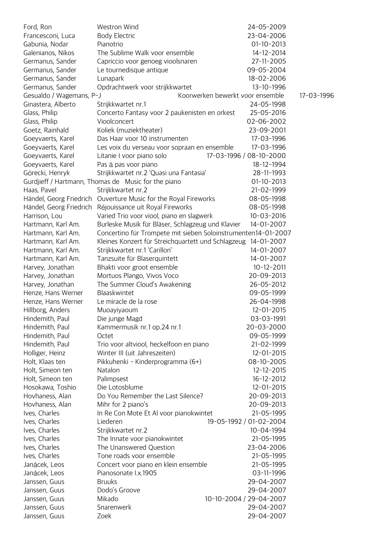| Ford, Ron                | Westron Wind                                                    | 24-05-2009                       |            |
|--------------------------|-----------------------------------------------------------------|----------------------------------|------------|
| Francesconi, Luca        | <b>Body Electric</b>                                            | 23-04-2006                       |            |
| Gabunia, Nodar           | Pianotrio                                                       | $01-10-2013$                     |            |
| Galenianos, Nikos        | The Sublime Walk voor ensemble                                  | 14-12-2014                       |            |
| Germanus, Sander         | Capriccio voor genoeg vioolsnaren                               | 27-11-2005                       |            |
| Germanus, Sander         | Le tournedisque antique                                         | 09-05-2004                       |            |
| Germanus, Sander         | Lunapark                                                        | 18-02-2006                       |            |
| Germanus, Sander         | Opdrachtwerk voor strijkkwartet                                 | 13-10-1996                       |            |
| Gesualdo / Wagemans, P-J |                                                                 | Koorwerken bewerkt voor ensemble | 17-03-1996 |
| Ginastera, Alberto       | Strijkkwartet nr.1                                              | 24-05-1998                       |            |
| Glass, Philip            | Concerto Fantasy voor 2 paukenisten en orkest                   | 25-05-2016                       |            |
| Glass, Philip            | Vioolconcert                                                    | 02-06-2002                       |            |
| Goetz, Rainhald          | Koliek (muziektheater)                                          | 23-09-2001                       |            |
| Goeyvaerts, Karel        | Das Haar voor 10 instrumenten                                   | 17-03-1996                       |            |
| Goeyvaerts, Karel        | Les voix du verseau voor sopraan en ensemble                    | 17-03-1996                       |            |
| Goeyvaerts, Karel        | Litanie I voor piano solo                                       | 17-03-1996 / 08-10-2000          |            |
| Goeyvaerts, Karel        | Pas à pas voor piano                                            | 18-12-1994                       |            |
| Górecki, Henryk          | Strijkkwartet nr.2 'Quasi una Fantasia'                         | 28-11-1993                       |            |
|                          | Gurdjieff / Hartmann, Thomas de Music for the piano             | $01-10-2013$                     |            |
| Haas, Pavel              | Strijkkwartet nr.2                                              | 21-02-1999                       |            |
|                          | Händel, Georg Friedrich Ouverture Music for the Royal Fireworks | 08-05-1998                       |            |
| Händel, Georg Friedrich  | Réjouissance uit Royal Fireworks                                | 08-05-1998                       |            |
| Harrison, Lou            | Varied Trio voor viool, piano en slagwerk                       | $10 - 03 - 2016$                 |            |
| Hartmann, Karl Am.       | Burleske Musik für Bläser, Schlagzeug und Klavier               | 14-01-2007                       |            |
| Hartmann, Karl Am.       | Concertino für Trompete mit sieben Soloinstrumenten14-01-2007   |                                  |            |
| Hartmann, Karl Am.       | Kleines Konzert für Streichquartett und Schlagzeug 14-01-2007   |                                  |            |
| Hartmann, Karl Am.       | Strijkkwartet nr.1 'Carillon'                                   | 14-01-2007                       |            |
| Hartmann, Karl Am.       | Tanzsuite für Blaserquintett                                    | 14-01-2007                       |            |
| Harvey, Jonathan         | Bhakti voor groot ensemble                                      | $10 - 12 - 2011$                 |            |
| Harvey, Jonathan         | Mortuos Plango, Vivos Voco                                      | 20-09-2013                       |            |
| Harvey, Jonathan         | The Summer Cloud's Awakening                                    | 26-05-2012                       |            |
| Henze, Hans Werner       | Blaaskwintet                                                    | 09-05-1999                       |            |
| Henze, Hans Werner       | Le miracle de la rose                                           | 26-04-1998                       |            |
| Hillborg, Anders         | Muoayiyaoum                                                     | 12-01-2015                       |            |
| Hindemith, Paul          | Die junge Magd                                                  | 03-03-1991                       |            |
| Hindemith, Paul          | Kammermusik nr.1 op.24 nr.1                                     | 20-03-2000                       |            |
| Hindemith, Paul          | Octet                                                           | 09-05-1999                       |            |
| Hindemith, Paul          | Trio voor altviool, heckelfoon en piano                         | 21-02-1999                       |            |
| Holliger, Heinz          | Winter III (uit Jahreszeiten)                                   | 12-01-2015                       |            |
|                          |                                                                 | 08-10-2005                       |            |
| Holt, Klaas ten          | Pikkuhenki - Kinderprogramma (6+)                               | $12 - 12 - 2015$                 |            |
| Holt, Simeon ten         | Natalon                                                         | 16-12-2012                       |            |
| Holt, Simeon ten         | Palimpsest<br>Die Lotosblume                                    | 12-01-2015                       |            |
| Hosokawa, Toshio         | Do You Remember the Last Silence?                               |                                  |            |
| Hovhaness, Alan          |                                                                 | 20-09-2013                       |            |
| Hovhaness, Alan          | Mihr for 2 piano's                                              | 20-09-2013                       |            |
| Ives, Charles            | In Re Con Mote Et Al voor pianokwintet                          | 21-05-1995                       |            |
| Ives, Charles            | Liederen                                                        | 19-05-1992 / 01-02-2004          |            |
| Ives, Charles            | Strijkkwartet nr.2                                              | 10-04-1994                       |            |
| Ives, Charles            | The Innate voor pianokwintet                                    | 21-05-1995                       |            |
| Ives, Charles            | The Unanswered Question                                         | 23-04-2006                       |            |
| Ives, Charles            | Tone roads voor ensemble                                        | 21-05-1995                       |            |
| Janácek, Leos            | Concert voor piano en klein ensemble                            | 21-05-1995                       |            |
| Janácek, Leos            | Pianosonate I.x.1905                                            | 03-11-1996                       |            |
| Janssen, Guus            | <b>Bruuks</b>                                                   | 29-04-2007                       |            |
| Janssen, Guus            | Dodo's Groove                                                   | 29-04-2007                       |            |
| Janssen, Guus            | Mikado                                                          | 10-10-2004 / 29-04-2007          |            |
| Janssen, Guus            | Snarenwerk                                                      | 29-04-2007                       |            |
| Janssen, Guus            | Zoek                                                            | 29-04-2007                       |            |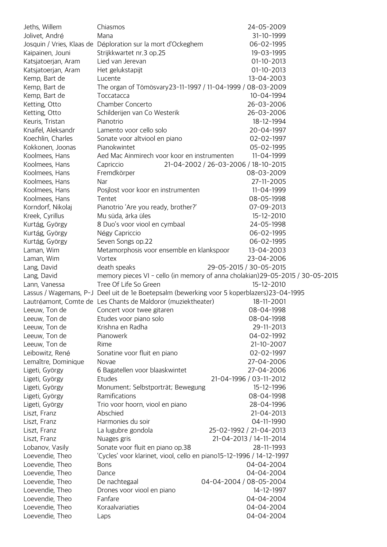| Jeths, Willem                      | Chiasmos                                                                                    | 24-05-2009                                                                     |
|------------------------------------|---------------------------------------------------------------------------------------------|--------------------------------------------------------------------------------|
| Jolivet, André                     | Mana                                                                                        | 31-10-1999                                                                     |
|                                    | Josquin / Vries, Klaas de Déploration sur la mort d'Ockeghem                                | 06-02-1995                                                                     |
| Kaipainen, Jouni                   | Strijkkwartet nr.3 op.25                                                                    | 19-03-1995                                                                     |
| Katsjatoerjan, Aram                | Lied van Jerevan                                                                            | $01-10-2013$                                                                   |
| Katsjatoerjan, Aram                | Het gelukstapijt                                                                            | $01-10-2013$                                                                   |
| Kemp, Bart de                      | Lucente                                                                                     | 13-04-2003                                                                     |
| Kemp, Bart de                      | The organ of Tömösvary23-11-1997 / 11-04-1999 / 08-03-2009                                  |                                                                                |
| Kemp, Bart de                      | Toccatacca                                                                                  | 10-04-1994                                                                     |
| Ketting, Otto                      | Chamber Concerto                                                                            | 26-03-2006                                                                     |
| Ketting, Otto                      | Schilderijen van Co Westerik                                                                | 26-03-2006                                                                     |
| Keuris, Tristan                    | Pianotrio                                                                                   | 18-12-1994                                                                     |
| Knaifel, Aleksandr                 | Lamento voor cello solo                                                                     | 20-04-1997                                                                     |
| Koechlin, Charles                  | Sonate voor altviool en piano                                                               | 02-02-1997                                                                     |
| Kokkonen, Joonas                   | Pianokwintet                                                                                | 05-02-1995                                                                     |
| Koolmees, Hans                     | Aed Mac Ainmirech voor koor en instrumenten                                                 | 11-04-1999                                                                     |
| Koolmees, Hans                     | Capriccio                                                                                   | 21-04-2002 / 26-03-2006 / 18-10-2015                                           |
| Koolmees, Hans                     | Fremdkörper                                                                                 | 08-03-2009                                                                     |
| Koolmees, Hans                     | Nar                                                                                         | 27-11-2005                                                                     |
| Koolmees, Hans                     | Posjlost voor koor en instrumenten                                                          | 11-04-1999                                                                     |
| Koolmees, Hans                     | Tentet                                                                                      | 08-05-1998                                                                     |
| Korndorf, Nikolaj                  | Pianotrio 'Are you ready, brother?'                                                         | 07-09-2013                                                                     |
| Kreek, Cyrillus                    | Mu süda, ärka üles                                                                          | 15-12-2010                                                                     |
| Kurtág, György                     | 8 Duo's voor viool en cymbaal                                                               | 24-05-1998                                                                     |
| Kurtág, György                     | Négy Capriccio                                                                              | 06-02-1995                                                                     |
| Kurtág, György                     | Seven Songs op.22                                                                           | 06-02-1995                                                                     |
| Laman, Wim                         | Metamorphosis voor ensemble en klankspoor                                                   | 13-04-2003                                                                     |
| Laman, Wim                         | Vortex                                                                                      | 23-04-2006                                                                     |
| Lang, David                        | death speaks                                                                                | 29-05-2015 / 30-05-2015                                                        |
|                                    |                                                                                             |                                                                                |
| Lang, David                        |                                                                                             | memory pieces VI - cello (in memory of anna cholakian) 29-05-2015 / 30-05-2015 |
| Lann, Vanessa                      | Tree Of Life So Green                                                                       | 15-12-2010                                                                     |
|                                    | Lassus / Wagemans, P-J Deel uit de 1e Boetepsalm (bewerking voor 5 koperblazers) 23-04-1995 |                                                                                |
|                                    | Lautréamont, Comte de Les Chants de Maldoror (muziektheater)                                | 18-11-2001                                                                     |
| Leeuw, Ton de                      | Concert voor twee gitaren                                                                   | 08-04-1998                                                                     |
| Leeuw, Ton de                      | Etudes voor piano solo                                                                      | 08-04-1998                                                                     |
| Leeuw, Ton de                      | Krishna en Radha                                                                            | 29-11-2013                                                                     |
| Leeuw, Ton de                      | Pianowerk                                                                                   | 04-02-1992                                                                     |
| Leeuw, Ton de                      | Rime                                                                                        | 21-10-2007                                                                     |
| Leibowitz, René                    | Sonatine voor fluit en piano                                                                | 02-02-1997                                                                     |
| Lemaître, Dominique                | Novae                                                                                       | 27-04-2006                                                                     |
| Ligeti, György                     | 6 Bagatellen voor blaaskwintet                                                              | 27-04-2006                                                                     |
| Ligeti, György                     | Etudes                                                                                      | 21-04-1996 / 03-11-2012                                                        |
| Ligeti, György                     | Monument; Selbstporträt; Bewegung                                                           | 15-12-1996                                                                     |
| Ligeti, György                     | Ramifications                                                                               | 08-04-1998                                                                     |
| Ligeti, György                     | Trio voor hoorn, viool en piano                                                             | 28-04-1996                                                                     |
| Liszt, Franz                       | Abschied                                                                                    | 21-04-2013                                                                     |
| Liszt, Franz                       | Harmonies du soir                                                                           | 04-11-1990                                                                     |
| Liszt, Franz                       | La lugubre gondola                                                                          | 25-02-1992 / 21-04-2013                                                        |
| Liszt, Franz                       | Nuages gris                                                                                 | 21-04-2013 / 14-11-2014                                                        |
| Lobanov, Vasily                    | Sonate voor fluit en piano op.38                                                            | 28-11-1993                                                                     |
| Loevendie, Theo                    | 'Cycles' voor klarinet, viool, cello en piano15-12-1996 / 14-12-1997                        |                                                                                |
| Loevendie, Theo                    | <b>Bons</b>                                                                                 | 04-04-2004                                                                     |
| Loevendie, Theo                    | Dance                                                                                       | 04-04-2004                                                                     |
| Loevendie, Theo                    | De nachtegaal                                                                               | 04-04-2004 / 08-05-2004                                                        |
| Loevendie, Theo                    | Drones voor viool en piano                                                                  | 14-12-1997                                                                     |
| Loevendie, Theo                    | Fanfare                                                                                     | 04-04-2004                                                                     |
| Loevendie, Theo<br>Loevendie, Theo | Koraalvariaties<br>Laps                                                                     | 04-04-2004<br>04-04-2004                                                       |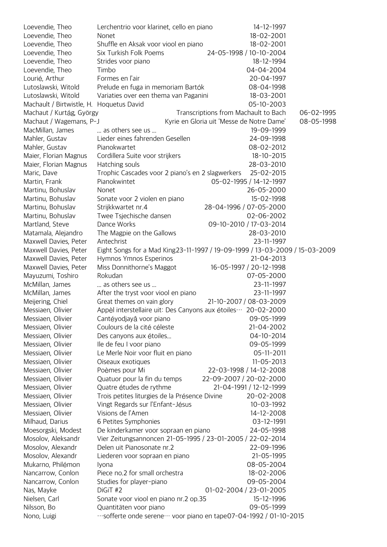| Loevendie, Theo                          | Lerchentrio voor klarinet, cello en piano                                   | 14-12-1997                                |            |
|------------------------------------------|-----------------------------------------------------------------------------|-------------------------------------------|------------|
| Loevendie, Theo                          | Nonet                                                                       | 18-02-2001                                |            |
| Loevendie, Theo                          | Shuffle en Aksak voor viool en piano                                        | 18-02-2001                                |            |
| Loevendie, Theo                          | Six Turkish Folk Poems                                                      | 24-05-1998 / 10-10-2004                   |            |
| Loevendie, Theo                          | Strides voor piano                                                          | 18-12-1994                                |            |
| Loevendie, Theo                          | Timbo                                                                       | 04-04-2004                                |            |
| Lourié, Arthur                           | Formes en l'air                                                             | 20-04-1997                                |            |
| Lutoslawski, Witold                      | Prelude en fuga in memoriam Bartók                                          | 08-04-1998                                |            |
| Lutoslawski, Witold                      | Variaties over een thema van Paganini                                       | 18-03-2001                                |            |
| Machault / Birtwistle, H. Hoquetus David |                                                                             | 05-10-2003                                |            |
| Machaut / Kurtág, György                 |                                                                             | Transcriptions from Machault to Bach      | 06-02-1995 |
| Machaut / Wagemans, P-J                  |                                                                             | Kyrie en Gloria uit 'Messe de Notre Dame' | 08-05-1998 |
| MacMillan, James                         | as others see us                                                            | 19-09-1999                                |            |
| Mahler, Gustav                           | Lieder eines fahrenden Gesellen                                             | 24-09-1998                                |            |
| Mahler, Gustav                           | Pianokwartet                                                                | 08-02-2012                                |            |
| Maier, Florian Magnus                    | Cordillera Suite voor strijkers                                             | $18 - 10 - 2015$                          |            |
| Maier, Florian Magnus                    | Hatching souls                                                              | 28-03-2010                                |            |
| Maric, Dave                              | Trophic Cascades voor 2 piano's en 2 slagwerkers                            | 25-02-2015                                |            |
| Martin, Frank                            | Pianokwintet                                                                | 05-02-1995 / 14-12-1997                   |            |
| Martinu, Bohuslav                        | Nonet                                                                       | 26-05-2000                                |            |
| Martinu, Bohuslav                        | Sonate voor 2 violen en piano                                               | 15-02-1998                                |            |
| Martinu, Bohuslav                        | Strijkkwartet nr.4                                                          | 28-04-1996 / 07-05-2000                   |            |
| Martinu, Bohuslav                        | Twee Tsjechische dansen                                                     | 02-06-2002                                |            |
| Martland, Steve                          | Dance Works                                                                 | 09-10-2010 / 17-03-2014                   |            |
| Matamala, Alejandro                      | The Magpie on the Gallows                                                   | 28-03-2010                                |            |
| Maxwell Davies, Peter                    | Antechrist                                                                  | 23-11-1997                                |            |
| Maxwell Davies, Peter                    | Eight Songs for a Mad King23-11-1997 / 19-09-1999 / 13-03-2009 / 15-03-2009 |                                           |            |
| Maxwell Davies, Peter                    | Hymnos Ymnos Esperinos                                                      | 21-04-2013                                |            |
| Maxwell Davies, Peter                    | Miss Donnithorne's Maggot                                                   | 16-05-1997 / 20-12-1998                   |            |
| Mayuzumi, Toshiro                        | Rokudan                                                                     | 07-05-2000                                |            |
| McMillan, James                          | as others see us                                                            | 23-11-1997                                |            |
| McMillan, James                          | After the tryst voor viool en piano                                         | 23-11-1997                                |            |
| Meijering, Chiel                         | Great themes on vain glory                                                  | 21-10-2007 / 08-03-2009                   |            |
| Messiaen, Olivier                        | Appèl interstellaire uit: Des Canyons aux étoiles ··· 20-02-2000            |                                           |            |
| Messiaen, Olivier                        | Cantéyodjayâ voor piano                                                     | 09-05-1999                                |            |
| Messiaen, Olivier                        | Coulours de la cité céleste                                                 | 21-04-2002                                |            |
| Messiaen, Olivier                        | Des canyons aux étoiles                                                     | 04-10-2014                                |            |
| Messiaen, Olivier                        | lle de feu I voor piano                                                     | 09-05-1999                                |            |
| Messiaen, Olivier                        | Le Merle Noir voor fluit en piano                                           | 05-11-2011                                |            |
| Messiaen, Olivier                        | Oiseaux exotiques                                                           | $11 - 05 - 2013$                          |            |
| Messiaen, Olivier                        | Poèmes pour Mi                                                              | 22-03-1998 / 14-12-2008                   |            |
| Messiaen, Olivier                        | Quatuor pour la fin du temps                                                | 22-09-2007 / 20-02-2000                   |            |
| Messiaen, Olivier                        | Quatre études de rythme                                                     | 21-04-1991 / 12-12-1999                   |            |
| Messiaen, Olivier                        | Trois petites liturgies de la Présence Divine                               | 20-02-2008                                |            |
| Messiaen, Olivier                        | Vingt Regards sur l'Enfant-Jésus                                            | 10-03-1992                                |            |
| Messiaen, Olivier                        | Visions de l'Amen                                                           | 14-12-2008                                |            |
| Milhaud, Darius                          | 6 Petites Symphonies                                                        | 03-12-1991                                |            |
| Moesorgski, Modest                       | De kinderkamer voor sopraan en piano                                        | 24-05-1998                                |            |
| Mosolov, Aleksandr                       | Vier Zeitungsannoncen 21-05-1995 / 23-01-2005 / 22-02-2014                  |                                           |            |
| Mosolov, Alexandr                        | Delen uit Pianosonate nr.2                                                  | 22-09-1996                                |            |
| Mosolov, Alexandr                        | Liederen voor sopraan en piano                                              | 21-05-1995                                |            |
| Mukarno, Philémon                        |                                                                             | 08-05-2004                                |            |
|                                          | Iyona<br>Piece no.2 for small orchestra                                     | 18-02-2006                                |            |
| Nancarrow, Conlon                        |                                                                             | 09-05-2004                                |            |
| Nancarrow, Conlon                        | Studies for player-piano<br>DiGiT #2                                        | 01-02-2004 / 23-01-2005                   |            |
| Nas, Mayke                               |                                                                             | 15-12-1996                                |            |
| Nielsen, Carl                            | Sonate voor viool en piano nr.2 op.35                                       | 09-05-1999                                |            |
| Nilsson, Bo                              | Quantitäten voor piano                                                      |                                           |            |
| Nono, Luigi                              | "sofferte onde serene ··· voor piano en tape07-04-1992 / 01-10-2015         |                                           |            |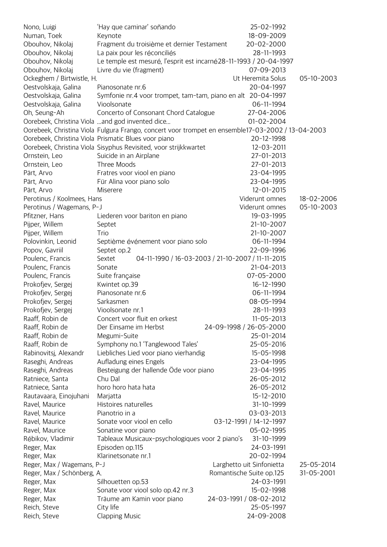| Nono, Luigi                | 'Hay que caminar' soñando                                                                         | 25-02-1992                |            |
|----------------------------|---------------------------------------------------------------------------------------------------|---------------------------|------------|
| Numan, Toek                | Keynote                                                                                           | 18-09-2009                |            |
| Obouhov, Nikolaj           | Fragment du troisième et dernier Testament                                                        | 20-02-2000                |            |
| Obouhov, Nikolaj           | La paix pour les réconciliés                                                                      | 28-11-1993                |            |
| Obouhov, Nikolaj           | Le temple est mesuré, l'esprit est incarné 28-11-1993 / 20-04-1997                                |                           |            |
| Obouhov, Nikolaj           | Livre du vie (fragment)                                                                           | 07-09-2013                |            |
| Ockeghem / Birtwistle, H.  |                                                                                                   | Ut Heremita Solus         | 05-10-2003 |
| Oestvolskaja, Galina       | Pianosonate nr.6                                                                                  | 20-04-1997                |            |
| Oestvolskaja, Galina       | Symfonie nr.4 voor trompet, tam-tam, piano en alt 20-04-1997                                      |                           |            |
| Oestvolskaja, Galina       | Vioolsonate                                                                                       | 06-11-1994                |            |
| Oh, Seung-Ah               | Concerto of Consonant Chord Catalogue                                                             | 27-04-2006                |            |
|                            | Oorebeek, Christina Viola  and god invented dice                                                  | 01-02-2004                |            |
|                            | Oorebeek, Christina Viola Fulgura Frango, concert voor trompet en ensemble17-03-2002 / 13-04-2003 |                           |            |
|                            | Oorebeek, Christina Viola Prismatic Blues voor piano                                              | 20-12-1998                |            |
|                            | Oorebeek, Christina Viola Sisyphus Revisited, voor strijkkwartet                                  | 12-03-2011                |            |
| Ornstein, Leo              | Suicide in an Airplane                                                                            | 27-01-2013                |            |
| Ornstein, Leo              | Three Moods                                                                                       | 27-01-2013                |            |
| Pärt, Arvo                 | Fratres voor viool en piano                                                                       | 23-04-1995                |            |
| Pärt, Arvo                 | Für Alina voor piano solo                                                                         | 23-04-1995                |            |
| Pärt, Arvo                 | Miserere                                                                                          | 12-01-2015                |            |
| Perotinus / Koolmees, Hans |                                                                                                   | Viderunt omnes            | 18-02-2006 |
| Perotinus / Wagemans, P-J  |                                                                                                   | Viderunt omnes            | 05-10-2003 |
|                            |                                                                                                   | 19-03-1995                |            |
| Pfitzner, Hans             | Liederen voor bariton en piano                                                                    |                           |            |
| Pijper, Willem             | Septet                                                                                            | 21-10-2007                |            |
| Pijper, Willem             | Trio                                                                                              | 21-10-2007                |            |
| Polovinkin, Leonid         | Septième événement voor piano solo                                                                | 06-11-1994                |            |
| Popov, Gavriil             | Septet op.2                                                                                       | 22-09-1996                |            |
| Poulenc, Francis           | 04-11-1990 / 16-03-2003 / 21-10-2007 / 11-11-2015<br>Sextet                                       |                           |            |
| Poulenc, Francis           | Sonate                                                                                            | 21-04-2013                |            |
| Poulenc, Francis           | Suite française                                                                                   | 07-05-2000                |            |
| Prokofjev, Sergej          | Kwintet op.39                                                                                     | 16-12-1990                |            |
| Prokofjev, Sergej          | Pianosonate nr.6                                                                                  | 06-11-1994                |            |
| Prokofjev, Sergej          | Sarkasmen                                                                                         | 08-05-1994                |            |
| Prokofjev, Sergej          | Vioolsonate nr.1                                                                                  | 28-11-1993                |            |
| Raaff, Robin de            | Concert voor fluit en orkest                                                                      | $11 - 05 - 2013$          |            |
| Raaff, Robin de            | Der Einsame im Herbst                                                                             | 24-09-1998 / 26-05-2000   |            |
| Raaff, Robin de            | Megumi-Suite                                                                                      | 25-01-2014                |            |
| Raaff, Robin de            | Symphony no.1 'Tanglewood Tales'                                                                  | 25-05-2016                |            |
| Rabinovitsj, Alexandr      | Liebliches Lied voor piano vierhandig                                                             | 15-05-1998                |            |
| Raseghi, Andreas           | Aufladung eines Engels                                                                            | 23-04-1995                |            |
| Raseghi, Andreas           | Besteigung der hallende Öde voor piano                                                            | 23-04-1995                |            |
| Ratniece, Santa            | Chu Dal                                                                                           | 26-05-2012                |            |
| Ratniece, Santa            | horo horo hata hata                                                                               | 26-05-2012                |            |
| Rautavaara, Einojuhani     | Marjatta                                                                                          | 15-12-2010                |            |
| Ravel, Maurice             | Histoires naturelles                                                                              | 31-10-1999                |            |
| Ravel, Maurice             | Pianotrio in a                                                                                    | 03-03-2013                |            |
| Ravel, Maurice             | Sonate voor viool en cello                                                                        | 03-12-1991 / 14-12-1997   |            |
| Ravel, Maurice             | Sonatine voor piano                                                                               | 05-02-1995                |            |
| Rébikov, Vladimir          | Tableaux Musicaux-psychologiques voor 2 piano's                                                   | 31-10-1999                |            |
| Reger, Max                 | Episoden op.115                                                                                   | 24-03-1991                |            |
| Reger, Max                 | Klarinetsonate nr.1                                                                               | 20-02-1994                |            |
| Reger, Max / Wagemans, P-J |                                                                                                   | Larghetto uit Sinfonietta | 25-05-2014 |
| Reger, Max / Schönberg, A. |                                                                                                   | Romantische Suite op.125  | 31-05-2001 |
| Reger, Max                 | Silhouetten op.53                                                                                 | 24-03-1991                |            |
| Reger, Max                 | Sonate voor viool solo op.42 nr.3                                                                 | 15-02-1998                |            |
| Reger, Max                 | Träume am Kamin voor piano                                                                        | 24-03-1991 / 08-02-2012   |            |
| Reich, Steve               | City life                                                                                         | 25-05-1997                |            |
| Reich, Steve               | <b>Clapping Music</b>                                                                             | 24-09-2008                |            |
|                            |                                                                                                   |                           |            |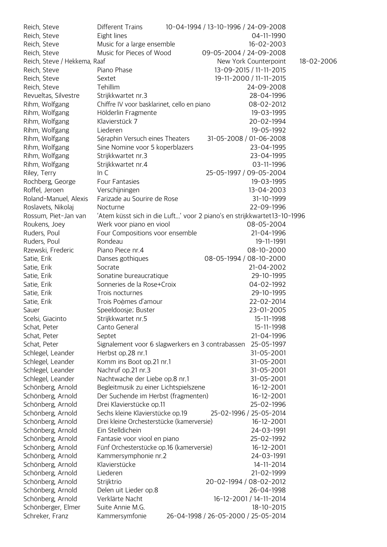| Reich, Steve                 | Different Trains                                                        | 10-04-1994 / 13-10-1996 / 24-09-2008 |                         |            |
|------------------------------|-------------------------------------------------------------------------|--------------------------------------|-------------------------|------------|
| Reich, Steve                 | Eight lines                                                             |                                      | 04-11-1990              |            |
| Reich, Steve                 | Music for a large ensemble                                              |                                      | 16-02-2003              |            |
| Reich, Steve                 | Music for Pieces of Wood                                                | 09-05-2004 / 24-09-2008              |                         |            |
| Reich, Steve / Hekkema, Raaf |                                                                         |                                      | New York Counterpoint   | 18-02-2006 |
| Reich, Steve                 | Piano Phase                                                             |                                      | 13-09-2015 / 11-11-2015 |            |
| Reich, Steve                 | Sextet                                                                  |                                      | 19-11-2000 / 11-11-2015 |            |
| Reich, Steve                 | Tehillim                                                                |                                      | 24-09-2008              |            |
| Revueltas, Silvestre         | Strijkkwartet nr.3                                                      |                                      | 28-04-1996              |            |
| Rihm, Wolfgang               | Chiffre IV voor basklarinet, cello en piano                             |                                      | 08-02-2012              |            |
| Rihm, Wolfgang               | Hölderlin Fragmente                                                     |                                      | 19-03-1995              |            |
| Rihm, Wolfgang               | Klavierstück 7                                                          |                                      | 20-02-1994              |            |
| Rihm, Wolfgang               | Liederen                                                                |                                      | 19-05-1992              |            |
| Rihm, Wolfgang               | Séraphin Versuch eines Theaters                                         |                                      | 31-05-2008 / 01-06-2008 |            |
| Rihm, Wolfgang               | Sine Nomine voor 5 koperblazers                                         |                                      | 23-04-1995              |            |
| Rihm, Wolfgang               | Strijkkwartet nr.3                                                      |                                      | 23-04-1995              |            |
| Rihm, Wolfgang               | Strijkkwartet nr.4                                                      |                                      | 03-11-1996              |            |
| Riley, Terry                 | In C                                                                    |                                      | 25-05-1997 / 09-05-2004 |            |
| Rochberg, George             | Four Fantasies                                                          |                                      | 19-03-1995              |            |
| Roffel, Jeroen               | Verschijningen                                                          |                                      | 13-04-2003              |            |
| Roland-Manuel, Alexis        | Farizade au Sourire de Rose                                             |                                      | 31-10-1999              |            |
| Roslavets, Nikolaj           | Nocturne                                                                |                                      | 22-09-1996              |            |
| Rossum, Piet-Jan van         | 'Atem küsst sich in die Luft' voor 2 piano's en strijkkwartet13-10-1996 |                                      |                         |            |
| Roukens, Joey                | Werk voor piano en viool                                                |                                      | 08-05-2004              |            |
| Ruders, Poul                 | Four Compositions voor ensemble                                         |                                      | 21-04-1996              |            |
| Ruders, Poul                 | Rondeau                                                                 |                                      | 19-11-1991              |            |
| Rzewski, Frederic            | Piano Piece nr.4                                                        |                                      | 08-10-2000              |            |
| Satie, Erik                  | Danses gothiques                                                        |                                      | 08-05-1994 / 08-10-2000 |            |
| Satie, Erik                  | Socrate                                                                 |                                      | 21-04-2002              |            |
| Satie, Erik                  | Sonatine bureaucratique                                                 |                                      | 29-10-1995              |            |
| Satie, Erik                  | Sonneries de la Rose+Croix                                              |                                      | 04-02-1992              |            |
| Satie, Erik                  | Trois nocturnes                                                         |                                      | 29-10-1995              |            |
| Satie, Erik                  | Trois Poèmes d'amour                                                    |                                      | 22-02-2014              |            |
| Sauer                        | Speeldoosje; Buster                                                     |                                      | 23-01-2005              |            |
| Scelsi, Giacinto             | Strijkkwartet nr.5                                                      |                                      | 15-11-1998              |            |
| Schat, Peter                 | Canto General                                                           |                                      | 15-11-1998              |            |
| Schat, Peter                 | Septet                                                                  |                                      | 21-04-1996              |            |
| Schat, Peter                 | Signalement voor 6 slagwerkers en 3 contrabassen                        |                                      | 25-05-1997              |            |
| Schlegel, Leander            | Herbst op.28 nr.1                                                       |                                      | 31-05-2001              |            |
| Schlegel, Leander            | Komm ins Boot op.21 nr.1                                                |                                      | 31-05-2001              |            |
| Schlegel, Leander            | Nachruf op.21 nr.3                                                      |                                      | 31-05-2001              |            |
| Schlegel, Leander            | Nachtwache der Liebe op.8 nr.1                                          |                                      | 31-05-2001              |            |
| Schönberg, Arnold            | Begleitmusik zu einer Lichtspielszene                                   |                                      | $16 - 12 - 2001$        |            |
| Schönberg, Arnold            | Der Suchende im Herbst (fragmenten)                                     |                                      | $16 - 12 - 2001$        |            |
| Schönberg, Arnold            | Drei Klavierstücke op.11                                                |                                      | 25-02-1996              |            |
| Schönberg, Arnold            | Sechs kleine Klavierstücke op.19                                        |                                      | 25-02-1996 / 25-05-2014 |            |
| Schönberg, Arnold            | Drei kleine Orchesterstücke (kamerversie)                               |                                      | $16 - 12 - 2001$        |            |
| Schönberg, Arnold            | Ein Stelldichein                                                        |                                      | 24-03-1991              |            |
| Schönberg, Arnold            | Fantasie voor viool en piano                                            |                                      | 25-02-1992              |            |
| Schönberg, Arnold            | Fünf Orchesterstücke op.16 (kamerversie)                                |                                      | $16 - 12 - 2001$        |            |
| Schönberg, Arnold            | Kammersymphonie nr.2                                                    |                                      | 24-03-1991              |            |
| Schönberg, Arnold            | Klavierstücke                                                           |                                      | 14-11-2014              |            |
| Schönberg, Arnold            | Liederen                                                                |                                      | 21-02-1999              |            |
| Schönberg, Arnold            | Strijktrio                                                              |                                      | 20-02-1994 / 08-02-2012 |            |
| Schönberg, Arnold            | Delen uit Lieder op.8                                                   |                                      | 26-04-1998              |            |
| Schönberg, Arnold            | Verklärte Nacht                                                         |                                      | 16-12-2001 / 14-11-2014 |            |
| Schönberger, Elmer           | Suite Annie M.G.                                                        |                                      | 18-10-2015              |            |
| Schreker, Franz              | Kammersymfonie                                                          | 26-04-1998 / 26-05-2000 / 25-05-2014 |                         |            |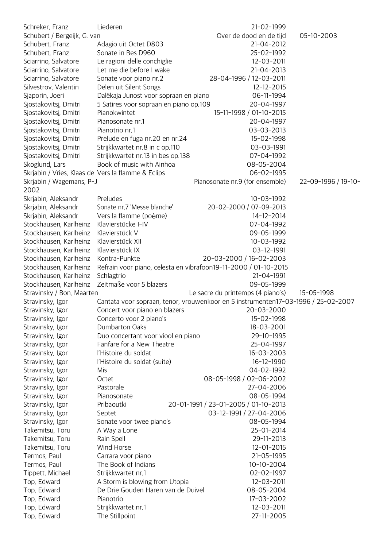| Schreker, Franz                                    | Liederen                                                                          | 21-02-1999                           |                     |
|----------------------------------------------------|-----------------------------------------------------------------------------------|--------------------------------------|---------------------|
| Schubert / Bergeijk, G. van                        |                                                                                   | Over de dood en de tijd              | 05-10-2003          |
| Schubert, Franz                                    | Adagio uit Octet D803                                                             | 21-04-2012                           |                     |
| Schubert, Franz                                    | Sonate in Bes D960                                                                | 25-02-1992                           |                     |
| Sciarrino, Salvatore                               | Le ragioni delle conchiglie                                                       | 12-03-2011                           |                     |
| Sciarrino, Salvatore                               | Let me die before I wake                                                          | 21-04-2013                           |                     |
| Sciarrino, Salvatore                               | Sonate voor piano nr.2                                                            | 28-04-1996 / 12-03-2011              |                     |
| Silvestrov, Valentin                               | Delen uit Silent Songs                                                            | 12-12-2015                           |                     |
| Sjaporin, Joeri                                    | Dalëkaja Junost voor sopraan en piano                                             | 06-11-1994                           |                     |
| Sjostakovitsj, Dmitri                              | 5 Satires voor sopraan en piano op.109                                            | 20-04-1997                           |                     |
| Sjostakovitsj, Dmitri                              | Pianokwintet                                                                      | 15-11-1998 / 01-10-2015              |                     |
| Sjostakovitsj, Dmitri                              | Pianosonate nr.1                                                                  | 20-04-1997                           |                     |
| Sjostakovitsj, Dmitri                              | Pianotrio nr.1                                                                    | 03-03-2013                           |                     |
| Sjostakovitsj, Dmitri                              | Prelude en fuga nr.20 en nr.24                                                    | 15-02-1998                           |                     |
| Sjostakovitsj, Dmitri                              | Strijkkwartet nr.8 in c op.110                                                    | 03-03-1991                           |                     |
| Sjostakovitsj, Dmitri                              | Strijkkwartet nr.13 in bes op.138                                                 | 07-04-1992                           |                     |
| Skoglund, Lars                                     | Book of music with Ainhoa                                                         | 08-05-2004                           |                     |
| Skrjabin / Vries, Klaas de Vers la flamme & Eclips |                                                                                   | 06-02-1995                           |                     |
| Skrjabin / Wagemans, P-J<br>2002                   |                                                                                   | Pianosonate nr.9 (for ensemble)      | 22-09-1996 / 19-10- |
| Skrjabin, Aleksandr                                | Preludes                                                                          | 10-03-1992                           |                     |
| Skrjabin, Aleksandr                                | Sonate nr.7 'Messe blanche'                                                       | 20-02-2000 / 07-09-2013              |                     |
| Skrjabin, Aleksandr                                | Vers la flamme (poème)                                                            | 14-12-2014                           |                     |
| Stockhausen, Karlheinz                             | Klavierstücke I-IV                                                                | 07-04-1992                           |                     |
| Stockhausen, Karlheinz                             | Klavierstück V                                                                    | 09-05-1999                           |                     |
| Stockhausen, Karlheinz                             | Klavierstück XII                                                                  | 10-03-1992                           |                     |
| Stockhausen, Karlheinz                             | Klavierstück IX                                                                   | 03-12-1991                           |                     |
| Stockhausen, Karlheinz                             | Kontra-Punkte                                                                     | 20-03-2000 / 16-02-2003              |                     |
| Stockhausen, Karlheinz                             | Refrain voor piano, celesta en vibrafoon19-11-2000 / 01-10-2015                   |                                      |                     |
| Stockhausen, Karlheinz                             | Schlagtrio                                                                        | 21-04-1991                           |                     |
| Stockhausen, Karlheinz                             | Zeitmaße voor 5 blazers                                                           | 09-05-1999                           |                     |
| Stravinsky / Bon, Maarten                          |                                                                                   | Le sacre du printemps (4 piano's)    | 15-05-1998          |
| Stravinsky, Igor                                   | Cantata voor sopraan, tenor, vrouwenkoor en 5 instrumenten17-03-1996 / 25-02-2007 |                                      |                     |
| Stravinsky, Igor                                   | Concert voor piano en blazers                                                     | 20-03-2000                           |                     |
| Stravinsky, Igor                                   | Concerto voor 2 piano's                                                           | 15-02-1998                           |                     |
| Stravinsky, Igor                                   | Dumbarton Oaks                                                                    | 18-03-2001                           |                     |
| Stravinsky, Igor                                   | Duo concertant voor viool en piano                                                | 29-10-1995                           |                     |
| Stravinsky, Igor                                   | Fanfare for a New Theatre<br>l'Histoire du soldat                                 | 25-04-1997                           |                     |
| Stravinsky, Igor<br>Stravinsky, Igor               | l'Histoire du soldat (suite)                                                      | 16-03-2003<br>16-12-1990             |                     |
|                                                    | Mis                                                                               | 04-02-1992                           |                     |
| Stravinsky, Igor<br>Stravinsky, Igor               | Octet                                                                             | 08-05-1998 / 02-06-2002              |                     |
| Stravinsky, Igor                                   | Pastorale                                                                         | 27-04-2006                           |                     |
| Stravinsky, Igor                                   | Pianosonate                                                                       | 08-05-1994                           |                     |
| Stravinsky, Igor                                   | Pribaoutki                                                                        | 20-01-1991 / 23-01-2005 / 01-10-2013 |                     |
| Stravinsky, Igor                                   | Septet                                                                            | 03-12-1991 / 27-04-2006              |                     |
| Stravinsky, Igor                                   | Sonate voor twee piano's                                                          | 08-05-1994                           |                     |
| Takemitsu, Toru                                    | A Way a Lone                                                                      | 25-01-2014                           |                     |
| Takemitsu, Toru                                    | Rain Spell                                                                        | 29-11-2013                           |                     |
| Takemitsu, Toru                                    | Wind Horse                                                                        | 12-01-2015                           |                     |
| Termos, Paul                                       | Carrara voor piano                                                                | 21-05-1995                           |                     |
| Termos, Paul                                       | The Book of Indians                                                               | $10-10-2004$                         |                     |
| Tippett, Michael                                   | Strijkkwartet nr.1                                                                | 02-02-1997                           |                     |
| Top, Edward                                        | A Storm is blowing from Utopia                                                    | 12-03-2011                           |                     |
| Top, Edward                                        | De Drie Gouden Haren van de Duivel                                                | 08-05-2004                           |                     |
| Top, Edward                                        | Pianotrio                                                                         | 17-03-2002                           |                     |
| Top, Edward                                        | Strijkkwartet nr.1                                                                | 12-03-2011                           |                     |
| Top, Edward                                        | The Stillpoint                                                                    | 27-11-2005                           |                     |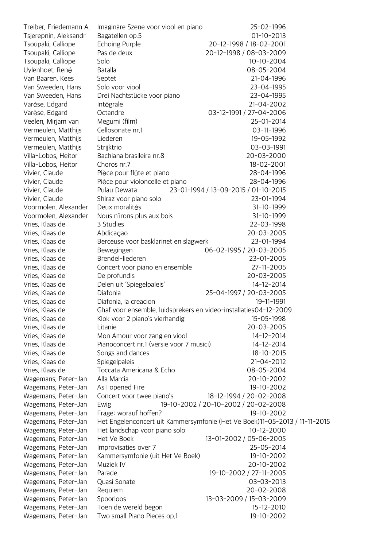| Treiber, Friedemann A. | Imaginäre Szene voor viool en piano                                        |                                      | 25-02-1996              |
|------------------------|----------------------------------------------------------------------------|--------------------------------------|-------------------------|
| Tsjerepnin, Aleksandr  | Bagatellen op.5                                                            |                                      | $01-10-2013$            |
| Tsoupaki, Calliope     | <b>Echoing Purple</b>                                                      |                                      | 20-12-1998 / 18-02-2001 |
| Tsoupaki, Calliope     | Pas de deux                                                                | 20-12-1998 / 08-03-2009              |                         |
| Tsoupaki, Calliope     | Solo                                                                       |                                      | $10-10-2004$            |
| Uylenhoet, René        | <b>Batalla</b>                                                             |                                      | 08-05-2004              |
| Van Baaren, Kees       | Septet                                                                     |                                      | 21-04-1996              |
| Van Sweeden, Hans      | Solo voor viool                                                            |                                      | 23-04-1995              |
| Van Sweeden, Hans      | Drei Nachtstücke voor piano                                                |                                      | 23-04-1995              |
| Varèse, Edgard         | Intégrale                                                                  |                                      | 21-04-2002              |
| Varèse, Edgard         | Octandre                                                                   |                                      | 03-12-1991 / 27-04-2006 |
| Veelen, Mirjam van     | Megumi (film)                                                              |                                      | 25-01-2014              |
| Vermeulen, Matthijs    | Cellosonate nr.1                                                           |                                      | 03-11-1996              |
| Vermeulen, Matthijs    | Liederen                                                                   |                                      | 19-05-1992              |
| Vermeulen, Matthijs    | Strijktrio                                                                 |                                      | 03-03-1991              |
| Villa-Lobos, Heitor    | Bachiana brasileira nr.8                                                   |                                      | 20-03-2000              |
| Villa-Lobos, Heitor    | Choros nr.7                                                                |                                      | 18-02-2001              |
| Vivier, Claude         | Pièce pour flûte et piano                                                  |                                      | 28-04-1996              |
| Vivier, Claude         | Pièce pour violoncelle et piano                                            |                                      | 28-04-1996              |
| Vivier, Claude         | Pulau Dewata                                                               | 23-01-1994 / 13-09-2015 / 01-10-2015 |                         |
| Vivier, Claude         | Shiraz voor piano solo                                                     |                                      | 23-01-1994              |
| Voormolen, Alexander   | Deux moralités                                                             |                                      | 31-10-1999              |
| Voormolen, Alexander   | Nous n'irons plus aux bois                                                 |                                      | 31-10-1999              |
| Vries, Klaas de        | 3 Studies                                                                  |                                      | 22-03-1998              |
| Vries, Klaas de        | Abdicação                                                                  |                                      | 20-03-2005              |
| Vries, Klaas de        | Berceuse voor basklarinet en slagwerk                                      |                                      | 23-01-1994              |
| Vries, Klaas de        | Bewegingen                                                                 | 06-02-1995 / 20-03-2005              |                         |
| Vries, Klaas de        | Brendel-liederen                                                           |                                      | 23-01-2005              |
| Vries, Klaas de        | Concert voor piano en ensemble                                             |                                      | 27-11-2005              |
| Vries, Klaas de        | De profundis                                                               |                                      | 20-03-2005              |
| Vries, Klaas de        | Delen uit 'Spiegelpaleis'                                                  |                                      | 14-12-2014              |
| Vries, Klaas de        | Diafonia                                                                   | 25-04-1997 / 20-03-2005              |                         |
| Vries, Klaas de        | Diafonia, la creacion                                                      |                                      | 19-11-1991              |
| Vries, Klaas de        | Ghaf voor ensemble, luidsprekers en video-installaties04-12-2009           |                                      |                         |
| Vries, Klaas de        | Klok voor 2 piano's vierhandig                                             |                                      | 15-05-1998              |
| Vries, Klaas de        | Litanie                                                                    |                                      | 20-03-2005              |
| Vries, Klaas de        | Mon Amour voor zang en viool                                               |                                      | 14-12-2014              |
| Vries, Klaas de        | Pianoconcert nr.1 (versie voor 7 musici)                                   |                                      | 14-12-2014              |
| Vries, Klaas de        | Songs and dances                                                           |                                      | 18-10-2015              |
| Vries, Klaas de        | Spiegelpaleis                                                              |                                      | 21-04-2012              |
| Vries, Klaas de        | Toccata Americana & Echo                                                   |                                      | 08-05-2004              |
| Wagemans, Peter-Jan    | Alla Marcia                                                                |                                      | 20-10-2002              |
| Wagemans, Peter-Jan    | As I opened Fire                                                           |                                      | 19-10-2002              |
| Wagemans, Peter-Jan    | Concert voor twee piano's                                                  |                                      | 18-12-1994 / 20-02-2008 |
| Wagemans, Peter-Jan    | 19-10-2002 / 20-10-2002 / 20-02-2008<br>Ewig                               |                                      |                         |
| Wagemans, Peter-Jan    | Frage: worauf hoffen?                                                      |                                      | 19-10-2002              |
| Wagemans, Peter-Jan    | Het Engelenconcert uit Kammersymfonie (Het Ve Boek)11-05-2013 / 11-11-2015 |                                      |                         |
| Wagemans, Peter-Jan    | Het landschap voor piano solo                                              |                                      | $10 - 12 - 2000$        |
| Wagemans, Peter-Jan    | Het Ve Boek                                                                | 13-01-2002 / 05-06-2005              |                         |
| Wagemans, Peter-Jan    | Improvisaties over 7                                                       |                                      | 25-05-2014              |
| Wagemans, Peter-Jan    | Kammersymfonie (uit Het Ve Boek)                                           |                                      | 19-10-2002              |
| Wagemans, Peter-Jan    | Muziek IV                                                                  |                                      | 20-10-2002              |
| Wagemans, Peter-Jan    | Parade                                                                     |                                      | 19-10-2002 / 27-11-2005 |
| Wagemans, Peter-Jan    | Quasi Sonate                                                               |                                      | 03-03-2013              |
| Wagemans, Peter-Jan    | Requiem                                                                    |                                      | 20-02-2008              |
| Wagemans, Peter-Jan    | Spoorloos                                                                  | 13-03-2009 / 15-03-2009              |                         |
| Wagemans, Peter-Jan    | Toen de wereld begon                                                       |                                      | 15-12-2010              |
| Wagemans, Peter-Jan    | Two small Piano Pieces op.1                                                |                                      | 19-10-2002              |
|                        |                                                                            |                                      |                         |